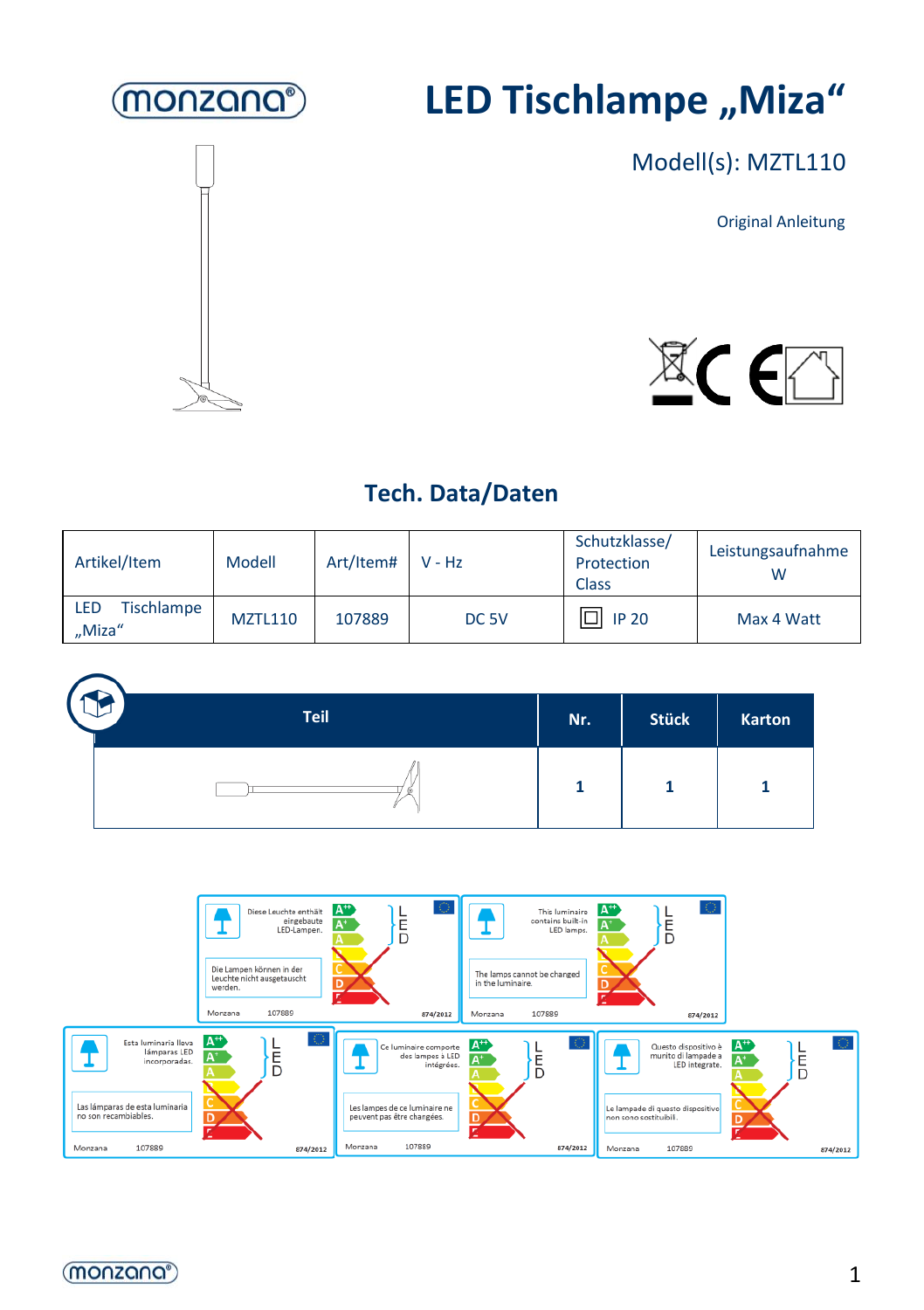

# **LED Tischlampe** "Miza"



Modell(s): MZTL110

Original Anleitung



#### **Tech. Data/Daten**

| Artikel/Item                       | Modell         | Art/Item# V - Hz |                  | Schutzklasse/<br>Protection<br><b>Class</b> | Leistungsaufnahme |
|------------------------------------|----------------|------------------|------------------|---------------------------------------------|-------------------|
| Tischlampe<br><b>LED</b><br>"Miza" | <b>MZTL110</b> | 107889           | DC <sub>5V</sub> | $\Box$ IP 20                                | Max 4 Watt        |

| <b>Teil</b> | Nr. | <b>Stück</b> | Karton |
|-------------|-----|--------------|--------|
|             |     |              |        |



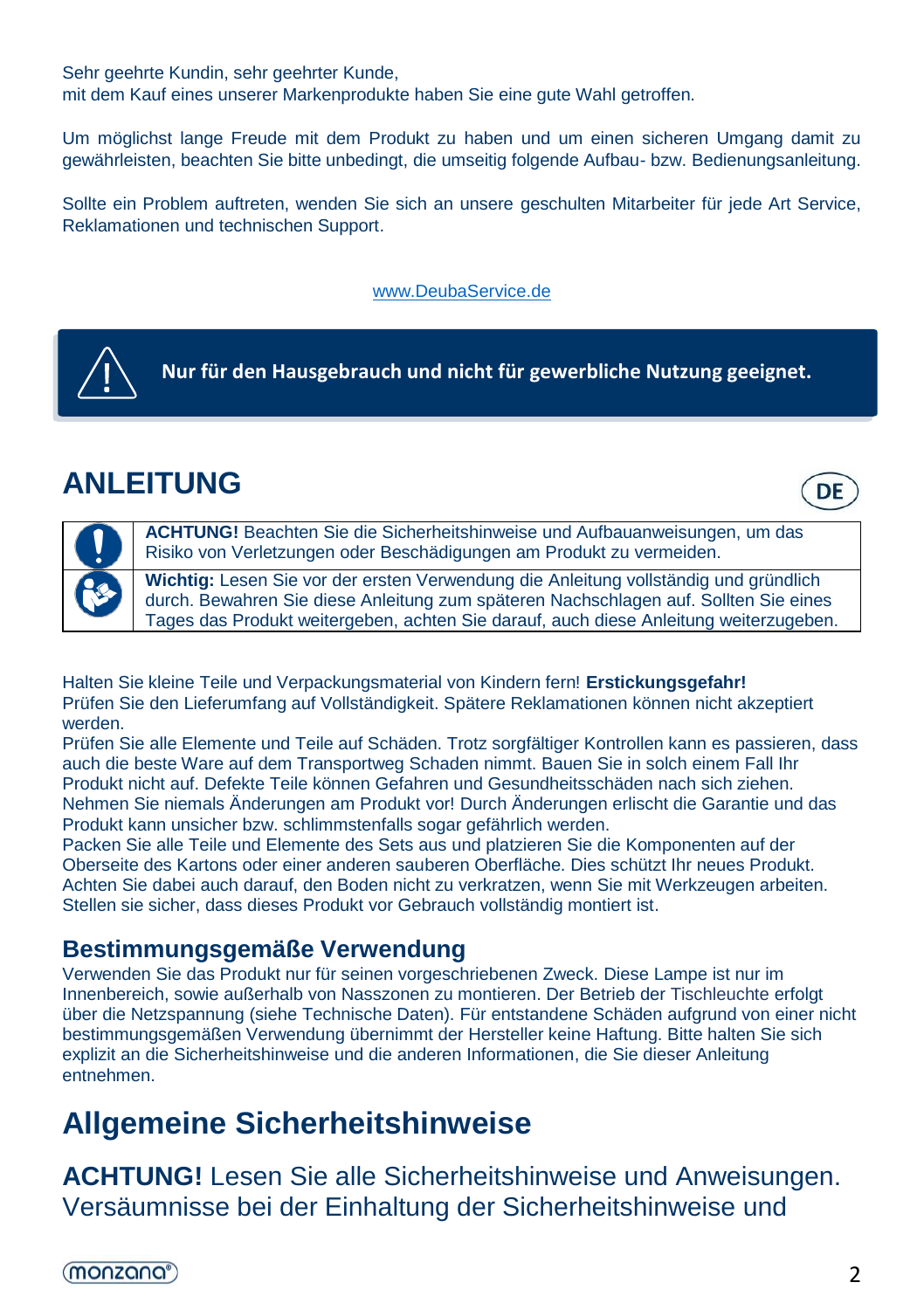Sehr geehrte Kundin, sehr geehrter Kunde,

mit dem Kauf eines unserer Markenprodukte haben Sie eine gute Wahl getroffen.

Um möglichst lange Freude mit dem Produkt zu haben und um einen sicheren Umgang damit zu gewährleisten, beachten Sie bitte unbedingt, die umseitig folgende Aufbau- bzw. Bedienungsanleitung.

Sollte ein Problem auftreten, wenden Sie sich an unsere geschulten Mitarbeiter für jede Art Service, Reklamationen und technischen Support.

[www.DeubaService.de](http://www.deubaservice.de/)



## **ANLEITUNG**





**ACHTUNG!** Beachten Sie die Sicherheitshinweise und Aufbauanweisungen, um das Risiko von Verletzungen oder Beschädigungen am Produkt zu vermeiden.

**Wichtig:** Lesen Sie vor der ersten Verwendung die Anleitung vollständig und gründlich durch. Bewahren Sie diese Anleitung zum späteren Nachschlagen auf. Sollten Sie eines Tages das Produkt weitergeben, achten Sie darauf, auch diese Anleitung weiterzugeben.

Halten Sie kleine Teile und Verpackungsmaterial von Kindern fern! **Erstickungsgefahr!** Prüfen Sie den Lieferumfang auf Vollständigkeit. Spätere Reklamationen können nicht akzeptiert werden.

Prüfen Sie alle Elemente und Teile auf Schäden. Trotz sorgfältiger Kontrollen kann es passieren, dass auch die beste Ware auf dem Transportweg Schaden nimmt. Bauen Sie in solch einem Fall Ihr Produkt nicht auf. Defekte Teile können Gefahren und Gesundheitsschäden nach sich ziehen. Nehmen Sie niemals Änderungen am Produkt vor! Durch Änderungen erlischt die Garantie und das Produkt kann unsicher bzw. schlimmstenfalls sogar gefährlich werden.

Packen Sie alle Teile und Elemente des Sets aus und platzieren Sie die Komponenten auf der Oberseite des Kartons oder einer anderen sauberen Oberfläche. Dies schützt Ihr neues Produkt. Achten Sie dabei auch darauf, den Boden nicht zu verkratzen, wenn Sie mit Werkzeugen arbeiten. Stellen sie sicher, dass dieses Produkt vor Gebrauch vollständig montiert ist.

#### **Bestimmungsgemäße Verwendung**

Verwenden Sie das Produkt nur für seinen vorgeschriebenen Zweck. Diese Lampe ist nur im Innenbereich, sowie außerhalb von Nasszonen zu montieren. Der Betrieb der Tischleuchte erfolgt über die Netzspannung (siehe Technische Daten). Für entstandene Schäden aufgrund von einer nicht bestimmungsgemäßen Verwendung übernimmt der Hersteller keine Haftung. Bitte halten Sie sich explizit an die Sicherheitshinweise und die anderen Informationen, die Sie dieser Anleitung entnehmen.

## **Allgemeine Sicherheitshinweise**

**ACHTUNG!** Lesen Sie alle Sicherheitshinweise und Anweisungen. Versäumnisse bei der Einhaltung der Sicherheitshinweise und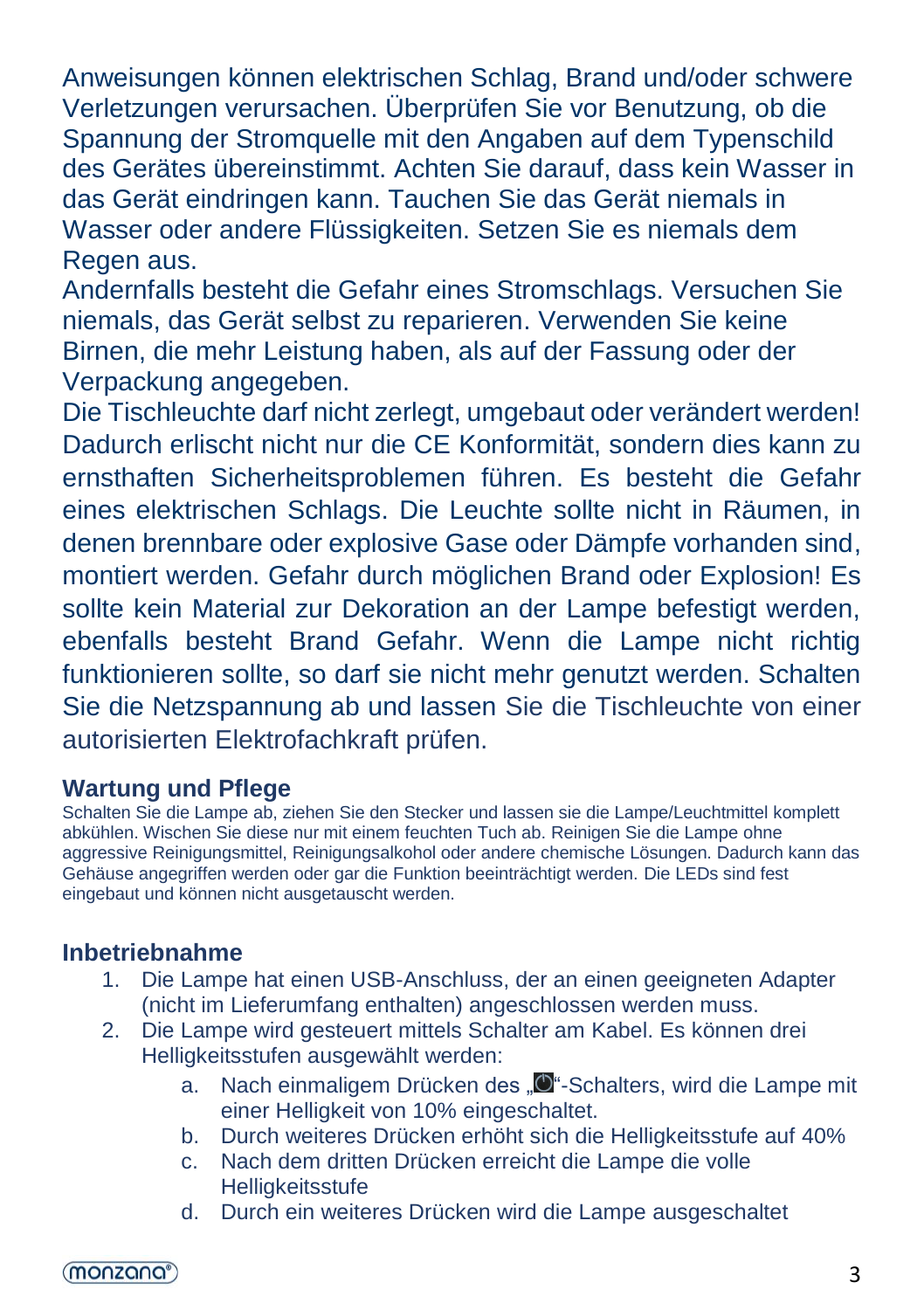Anweisungen können elektrischen Schlag, Brand und/oder schwere Verletzungen verursachen. Überprüfen Sie vor Benutzung, ob die Spannung der Stromquelle mit den Angaben auf dem Typenschild des Gerätes übereinstimmt. Achten Sie darauf, dass kein Wasser in das Gerät eindringen kann. Tauchen Sie das Gerät niemals in Wasser oder andere Flüssigkeiten. Setzen Sie es niemals dem Regen aus.

Andernfalls besteht die Gefahr eines Stromschlags. Versuchen Sie niemals, das Gerät selbst zu reparieren. Verwenden Sie keine Birnen, die mehr Leistung haben, als auf der Fassung oder der Verpackung angegeben.

Die Tischleuchte darf nicht zerlegt, umgebaut oder verändert werden! Dadurch erlischt nicht nur die CE Konformität, sondern dies kann zu ernsthaften Sicherheitsproblemen führen. Es besteht die Gefahr eines elektrischen Schlags. Die Leuchte sollte nicht in Räumen, in denen brennbare oder explosive Gase oder Dämpfe vorhanden sind, montiert werden. Gefahr durch möglichen Brand oder Explosion! Es sollte kein Material zur Dekoration an der Lampe befestigt werden, ebenfalls besteht Brand Gefahr. Wenn die Lampe nicht richtig funktionieren sollte, so darf sie nicht mehr genutzt werden. Schalten Sie die Netzspannung ab und lassen Sie die Tischleuchte von einer autorisierten Elektrofachkraft prüfen.

#### **Wartung und Pflege**

Schalten Sie die Lampe ab, ziehen Sie den Stecker und lassen sie die Lampe/Leuchtmittel komplett abkühlen. Wischen Sie diese nur mit einem feuchten Tuch ab. Reinigen Sie die Lampe ohne aggressive Reinigungsmittel, Reinigungsalkohol oder andere chemische Lösungen. Dadurch kann das Gehäuse angegriffen werden oder gar die Funktion beeinträchtigt werden. Die LEDs sind fest eingebaut und können nicht ausgetauscht werden.

#### **Inbetriebnahme**

- 1. Die Lampe hat einen USB-Anschluss, der an einen geeigneten Adapter (nicht im Lieferumfang enthalten) angeschlossen werden muss.
- 2. Die Lampe wird gesteuert mittels Schalter am Kabel. Es können drei Helligkeitsstufen ausgewählt werden:
	- a. Nach einmaligem Drücken des "<sup>D</sup>"-Schalters, wird die Lampe mit einer Helligkeit von 10% eingeschaltet.
	- b. Durch weiteres Drücken erhöht sich die Helligkeitsstufe auf 40%
	- c. Nach dem dritten Drücken erreicht die Lampe die volle **Helligkeitsstufe**
	- d. Durch ein weiteres Drücken wird die Lampe ausgeschaltet

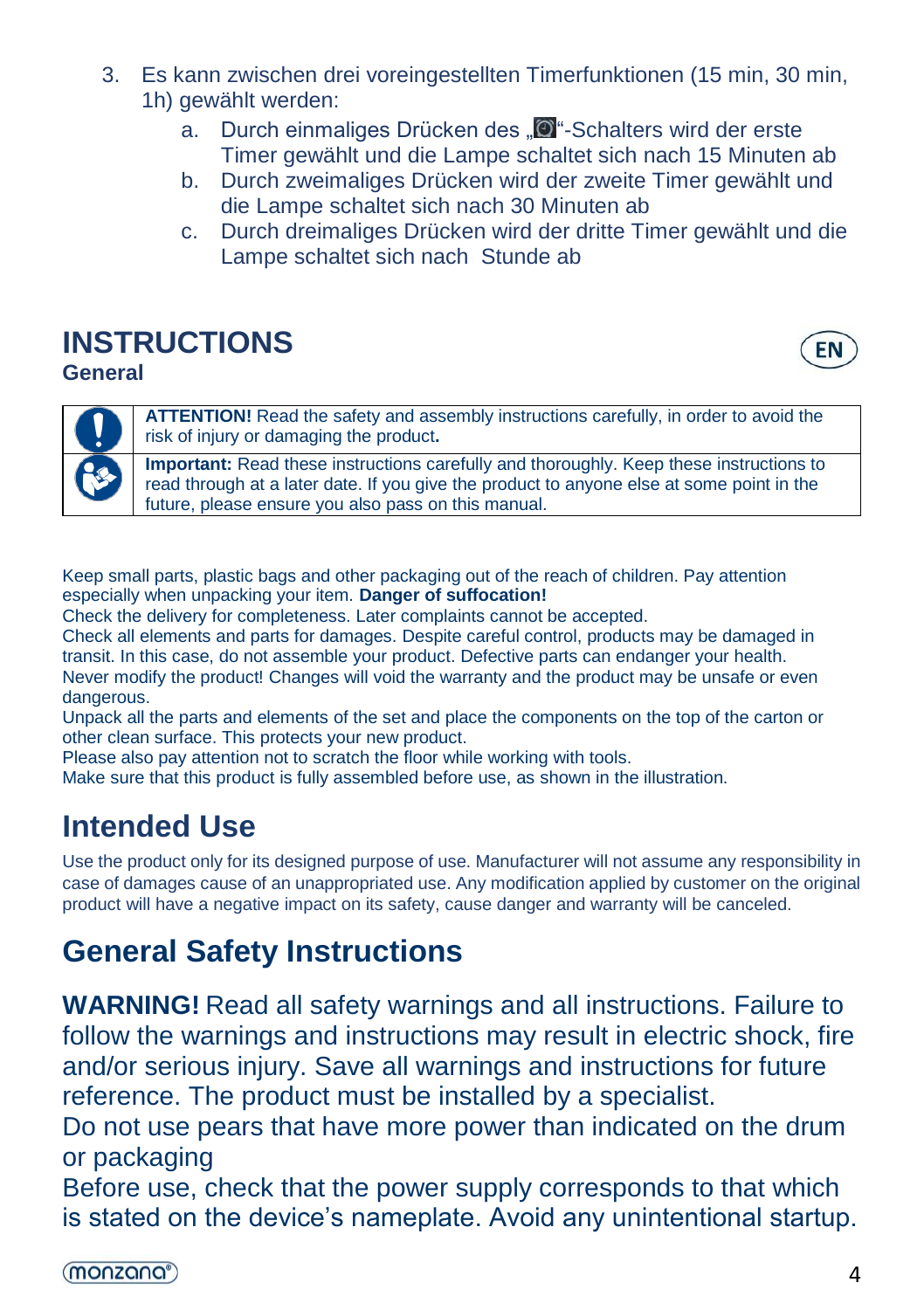- 3. Es kann zwischen drei voreingestellten Timerfunktionen (15 min, 30 min, 1h) gewählt werden:
	- a. Durch einmaliges Drücken des "<sup>1</sup> Schalters wird der erste Timer gewählt und die Lampe schaltet sich nach 15 Minuten ab
	- b. Durch zweimaliges Drücken wird der zweite Timer gewählt und die Lampe schaltet sich nach 30 Minuten ab
	- c. Durch dreimaliges Drücken wird der dritte Timer gewählt und die Lampe schaltet sich nach Stunde ab

## **INSTRUCTIONS**

**General**

**EN** 



**ATTENTION!** Read the safety and assembly instructions carefully, in order to avoid the risk of injury or damaging the product**.**

**Important:** Read these instructions carefully and thoroughly. Keep these instructions to read through at a later date. If you give the product to anyone else at some point in the future, please ensure you also pass on this manual.

Keep small parts, plastic bags and other packaging out of the reach of children. Pay attention especially when unpacking your item. **Danger of suffocation!**

Check the delivery for completeness. Later complaints cannot be accepted.

Check all elements and parts for damages. Despite careful control, products may be damaged in transit. In this case, do not assemble your product. Defective parts can endanger your health. Never modify the product! Changes will void the warranty and the product may be unsafe or even dangerous.

Unpack all the parts and elements of the set and place the components on the top of the carton or other clean surface. This protects your new product.

Please also pay attention not to scratch the floor while working with tools.

Make sure that this product is fully assembled before use, as shown in the illustration.

## **Intended Use**

Use the product only for its designed purpose of use. Manufacturer will not assume any responsibility in case of damages cause of an unappropriated use. Any modification applied by customer on the original product will have a negative impact on its safety, cause danger and warranty will be canceled.

## **General Safety Instructions**

**WARNING!** Read all safety warnings and all instructions. Failure to follow the warnings and instructions may result in electric shock, fire and/or serious injury. Save all warnings and instructions for future reference. [The](https://de.pons.com/%C3%BCbersetzung/englisch-deutsch/The) [product](https://de.pons.com/%C3%BCbersetzung/englisch-deutsch/product) [must](https://de.pons.com/%C3%BCbersetzung/englisch-deutsch/must) [be](https://de.pons.com/%C3%BCbersetzung/englisch-deutsch/be) [installed](https://de.pons.com/%C3%BCbersetzung/englisch-deutsch/installed) [by](https://de.pons.com/%C3%BCbersetzung/englisch-deutsch/by) [a](https://de.pons.com/%C3%BCbersetzung/englisch-deutsch/a) [specialist.](https://de.pons.com/%C3%BCbersetzung/englisch-deutsch/specialist)

Do not use pears that have more power than indicated on the drum or packaging

Before use, check that the power supply corresponds to that which is stated on the device's nameplate. Avoid any unintentional startup.

(monzana<sup>®</sup>)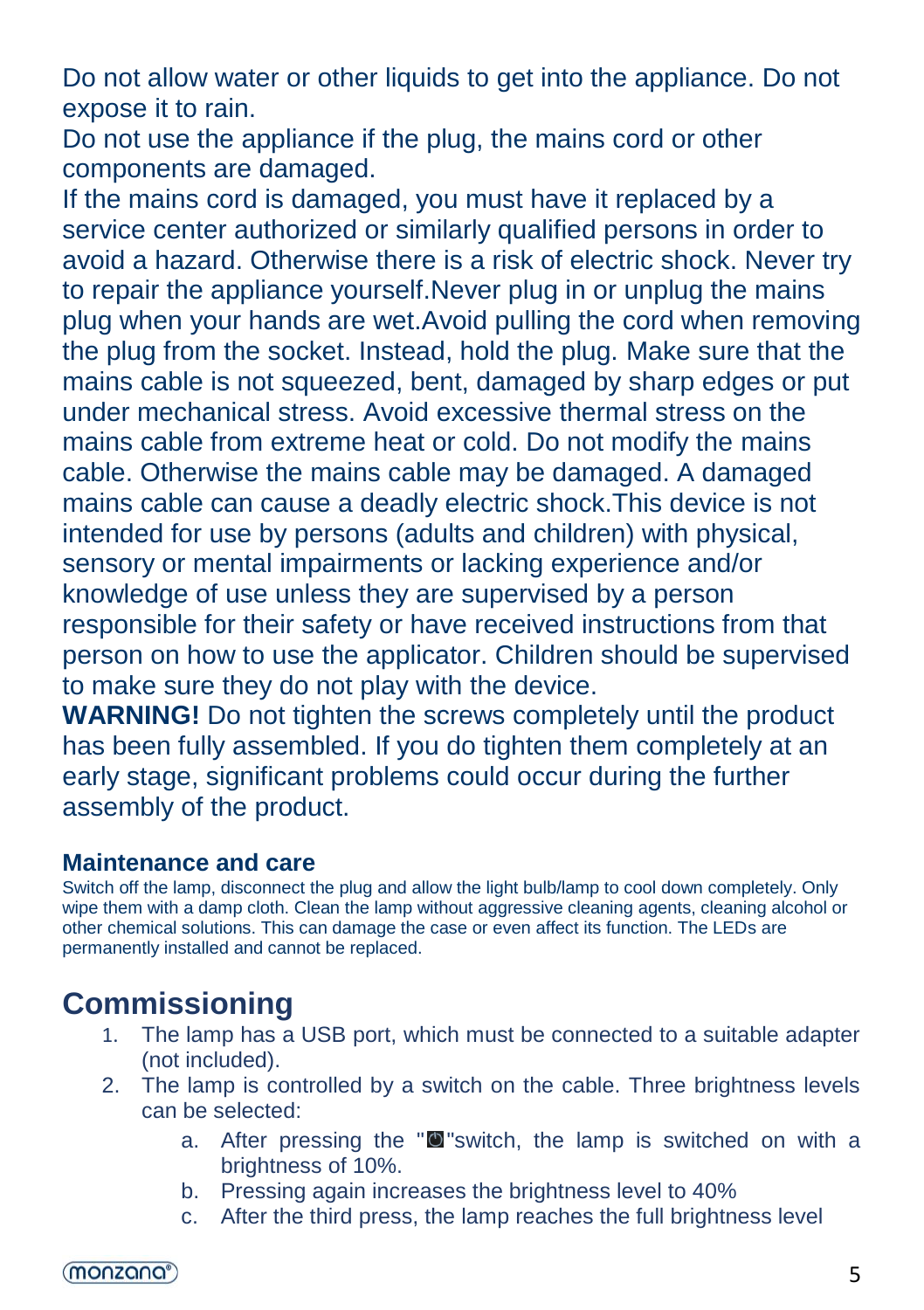Do not allow water or other liquids to get into the appliance. Do not expose it to rain.

Do not use the appliance if the plug, the mains cord or other components are damaged.

If the mains cord is damaged, you must have it replaced by a service center authorized or similarly qualified persons in order to avoid a hazard. Otherwise there is a risk of electric shock. Never try to repair the appliance yourself.Never plug in or unplug the mains plug when your hands are wet.Avoid pulling the cord when removing the plug from the socket. Instead, hold the plug. Make sure that the mains cable is not squeezed, bent, damaged by sharp edges or put under mechanical stress. Avoid excessive thermal stress on the mains cable from extreme heat or cold. Do not modify the mains cable. Otherwise the mains cable may be damaged. A damaged mains cable can cause a deadly electric shock.This device is not intended for use by persons (adults and children) with physical, sensory or mental impairments or lacking experience and/or knowledge of use unless they are supervised by a person responsible for their safety or have received instructions from that person on how to use the applicator. Children should be supervised to make sure they do not play with the device.

**WARNING!** Do not tighten the screws completely until the product has been fully assembled. If you do tighten them completely at an early stage, significant problems could occur during the further assembly of the product.

#### **Maintenance and care**

Switch off the lamp, disconnect the plug and allow the light bulb/lamp to cool down completely. Only wipe them with a damp cloth. Clean the lamp without aggressive cleaning agents, cleaning alcohol or other chemical solutions. This can damage the case or even affect its function. The LEDs are permanently installed and cannot be replaced.

## **Commissioning**

- 1. The lamp has a USB port, which must be connected to a suitable adapter (not included).
- 2. The lamp is controlled by a switch on the cable. Three brightness levels can be selected:
	- a. After pressing the "<sup>our</sup>switch, the lamp is switched on with a brightness of 10%.
	- b. Pressing again increases the brightness level to 40%
	- c. After the third press, the lamp reaches the full brightness level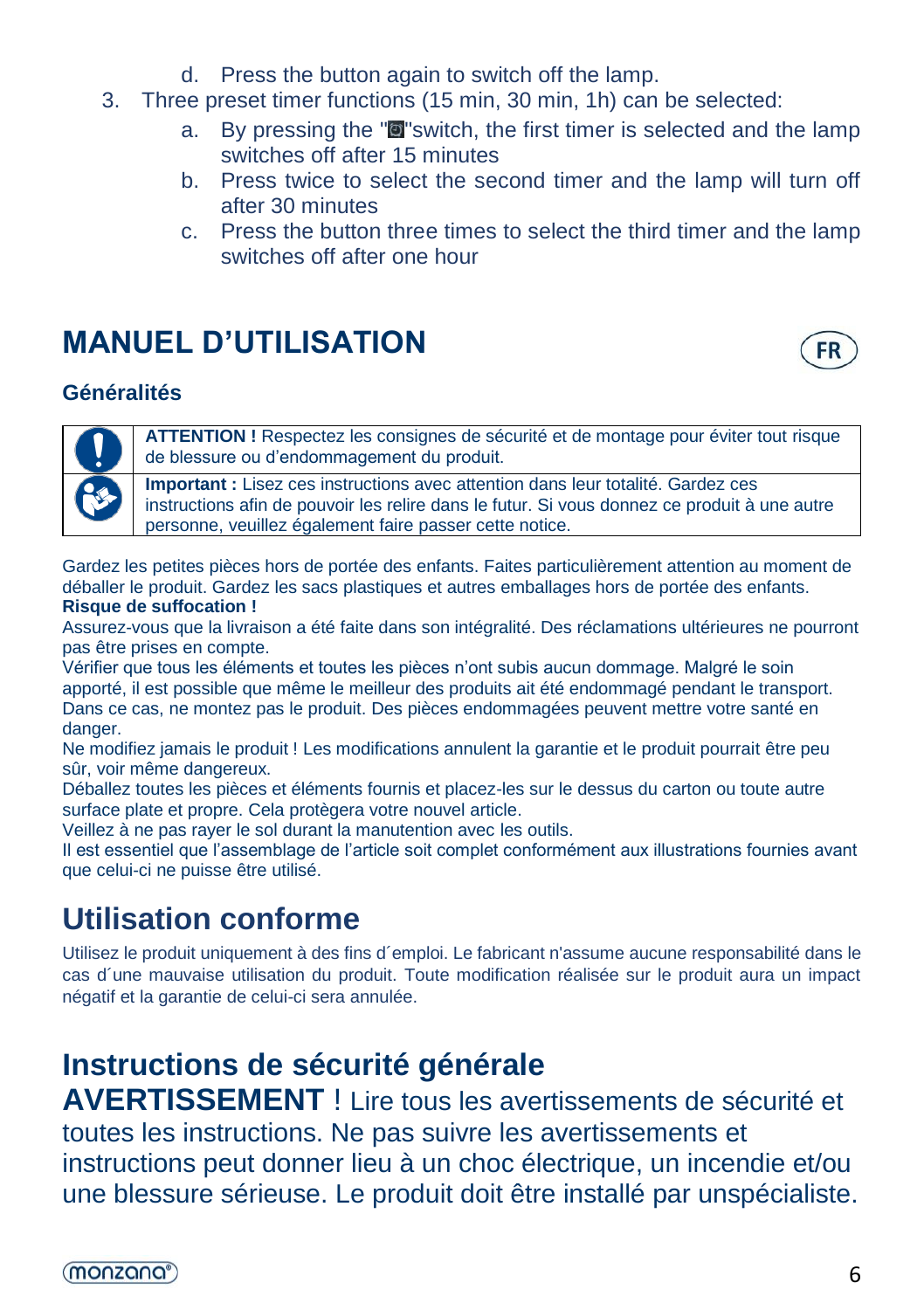- d. Press the button again to switch off the lamp.
- 3. Three preset timer functions (15 min, 30 min, 1h) can be selected:
	- a. By pressing the "**O**" switch, the first timer is selected and the lamp switches off after 15 minutes
	- b. Press twice to select the second timer and the lamp will turn off after 30 minutes
	- c. Press the button three times to select the third timer and the lamp switches off after one hour

## **MANUEL D'UTILISATION**



#### **Généralités**



**ATTENTION !** Respectez les consignes de sécurité et de montage pour éviter tout risque de blessure ou d'endommagement du produit.

**Important :** Lisez ces instructions avec attention dans leur totalité. Gardez ces instructions afin de pouvoir les relire dans le futur. Si vous donnez ce produit à une autre personne, veuillez également faire passer cette notice.

Gardez les petites pièces hors de portée des enfants. Faites particulièrement attention au moment de déballer le produit. Gardez les sacs plastiques et autres emballages hors de portée des enfants. **Risque de suffocation !**

Assurez-vous que la livraison a été faite dans son intégralité. Des réclamations ultérieures ne pourront pas être prises en compte.

Vérifier que tous les éléments et toutes les pièces n'ont subis aucun dommage. Malgré le soin apporté, il est possible que même le meilleur des produits ait été endommagé pendant le transport. Dans ce cas, ne montez pas le produit. Des pièces endommagées peuvent mettre votre santé en danger.

Ne modifiez jamais le produit ! Les modifications annulent la garantie et le produit pourrait être peu sûr, voir même dangereux.

Déballez toutes les pièces et éléments fournis et placez-les sur le dessus du carton ou toute autre surface plate et propre. Cela protègera votre nouvel article.

Veillez à ne pas rayer le sol durant la manutention avec les outils.

Il est essentiel que l'assemblage de l'article soit complet conformément aux illustrations fournies avant que celui-ci ne puisse être utilisé.

## **Utilisation conforme**

Utilisez le produit uniquement à des fins d´emploi. Le fabricant n'assume aucune responsabilité dans le cas d´une mauvaise utilisation du produit. Toute modification réalisée sur le produit aura un impact négatif et la garantie de celui-ci sera annulée.

## **Instructions de sécurité générale**

**AVERTISSEMENT** ! Lire tous les avertissements de sécurité et toutes les instructions. Ne pas suivre les avertissements et instructions peut donner lieu à un choc électrique, un incendie et/ou une blessure sérieuse. [Le](https://de.pons.com/%C3%BCbersetzung/franz%C3%B6sisch-deutsch/Le) [produit](https://de.pons.com/%C3%BCbersetzung/franz%C3%B6sisch-deutsch/produit) [doit](https://de.pons.com/%C3%BCbersetzung/franz%C3%B6sisch-deutsch/doit) [être](https://de.pons.com/%C3%BCbersetzung/franz%C3%B6sisch-deutsch/%C3%AAtre) [installé](https://de.pons.com/%C3%BCbersetzung/franz%C3%B6sisch-deutsch/install%C3%A9) [par](https://de.pons.com/%C3%BCbersetzung/franz%C3%B6sisch-deutsch/par) [unspécialiste.](https://de.pons.com/%C3%BCbersetzung/franz%C3%B6sisch-deutsch/un)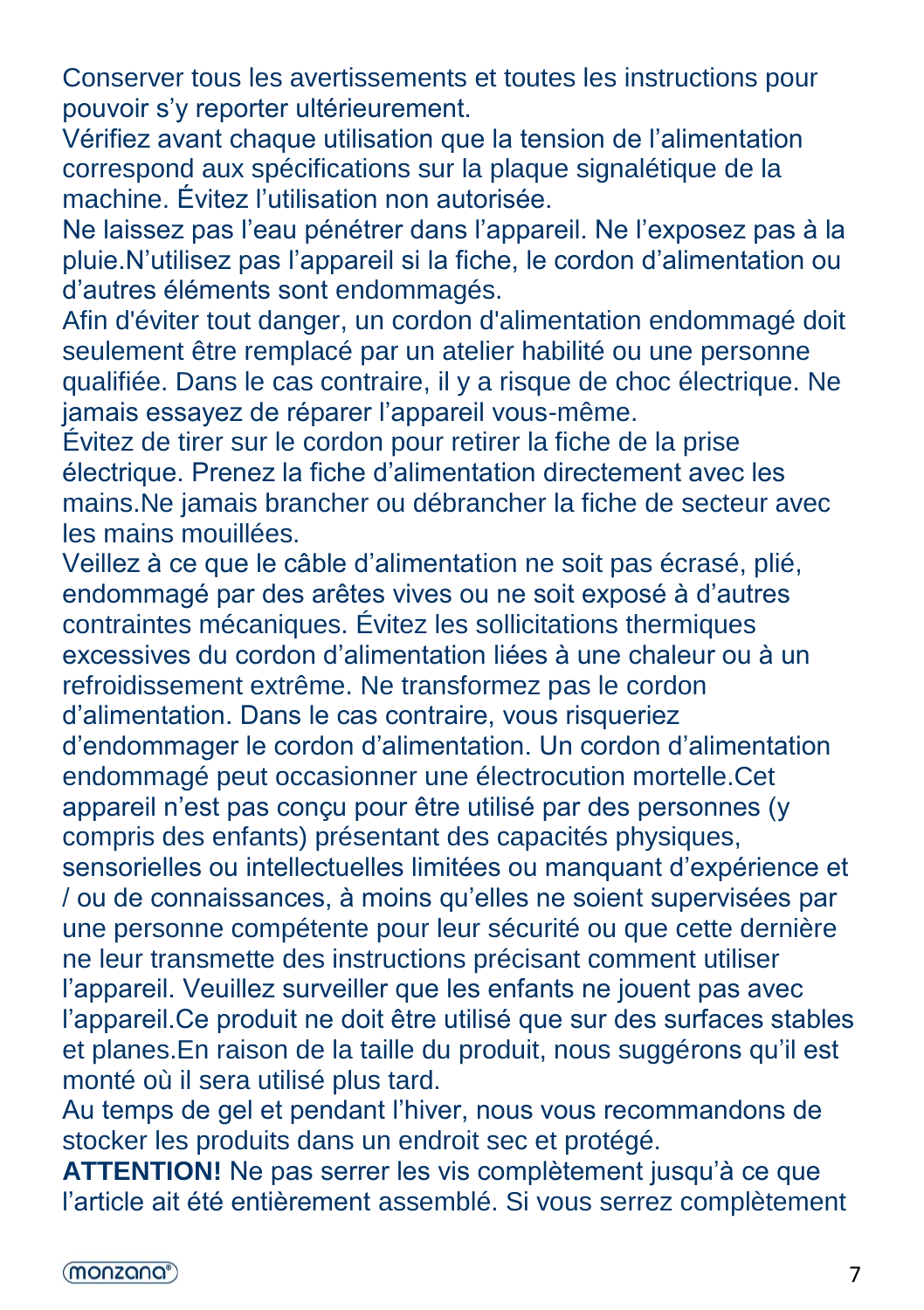Conserver tous les avertissements et toutes les instructions pour pouvoir s'y reporter ultérieurement.

Vérifiez avant chaque utilisation que la tension de l'alimentation correspond aux spécifications sur la plaque signalétique de la machine. Évitez l'utilisation non autorisée.

Ne laissez pas l'eau pénétrer dans l'appareil. Ne l'exposez pas à la pluie.N'utilisez pas l'appareil si la fiche, le cordon d'alimentation ou d'autres éléments sont endommagés.

Afin d'éviter tout danger, un cordon d'alimentation endommagé doit seulement être remplacé par un atelier habilité ou une personne qualifiée. Dans le cas contraire, il y a risque de choc électrique. Ne jamais essayez de réparer l'appareil vous-même.

Évitez de tirer sur le cordon pour retirer la fiche de la prise électrique. Prenez la fiche d'alimentation directement avec les mains.Ne jamais brancher ou débrancher la fiche de secteur avec les mains mouillées.

Veillez à ce que le câble d'alimentation ne soit pas écrasé, plié, endommagé par des arêtes vives ou ne soit exposé à d'autres contraintes mécaniques. Évitez les sollicitations thermiques excessives du cordon d'alimentation liées à une chaleur ou à un refroidissement extrême. Ne transformez pas le cordon d'alimentation. Dans le cas contraire, vous risqueriez d'endommager le cordon d'alimentation. Un cordon d'alimentation endommagé peut occasionner une électrocution mortelle.Cet

appareil n'est pas conçu pour être utilisé par des personnes (y compris des enfants) présentant des capacités physiques,

sensorielles ou intellectuelles limitées ou manquant d'expérience et / ou de connaissances, à moins qu'elles ne soient supervisées par une personne compétente pour leur sécurité ou que cette dernière ne leur transmette des instructions précisant comment utiliser l'appareil. Veuillez surveiller que les enfants ne jouent pas avec l'appareil.Ce produit ne doit être utilisé que sur des surfaces stables et planes.En raison de la taille du produit, nous suggérons qu'il est monté où il sera utilisé plus tard.

Au temps de gel et pendant l'hiver, nous vous recommandons de stocker les produits dans un endroit sec et protégé.

**ATTENTION!** Ne pas serrer les vis complètement jusqu'à ce que l'article ait été entièrement assemblé. Si vous serrez complètement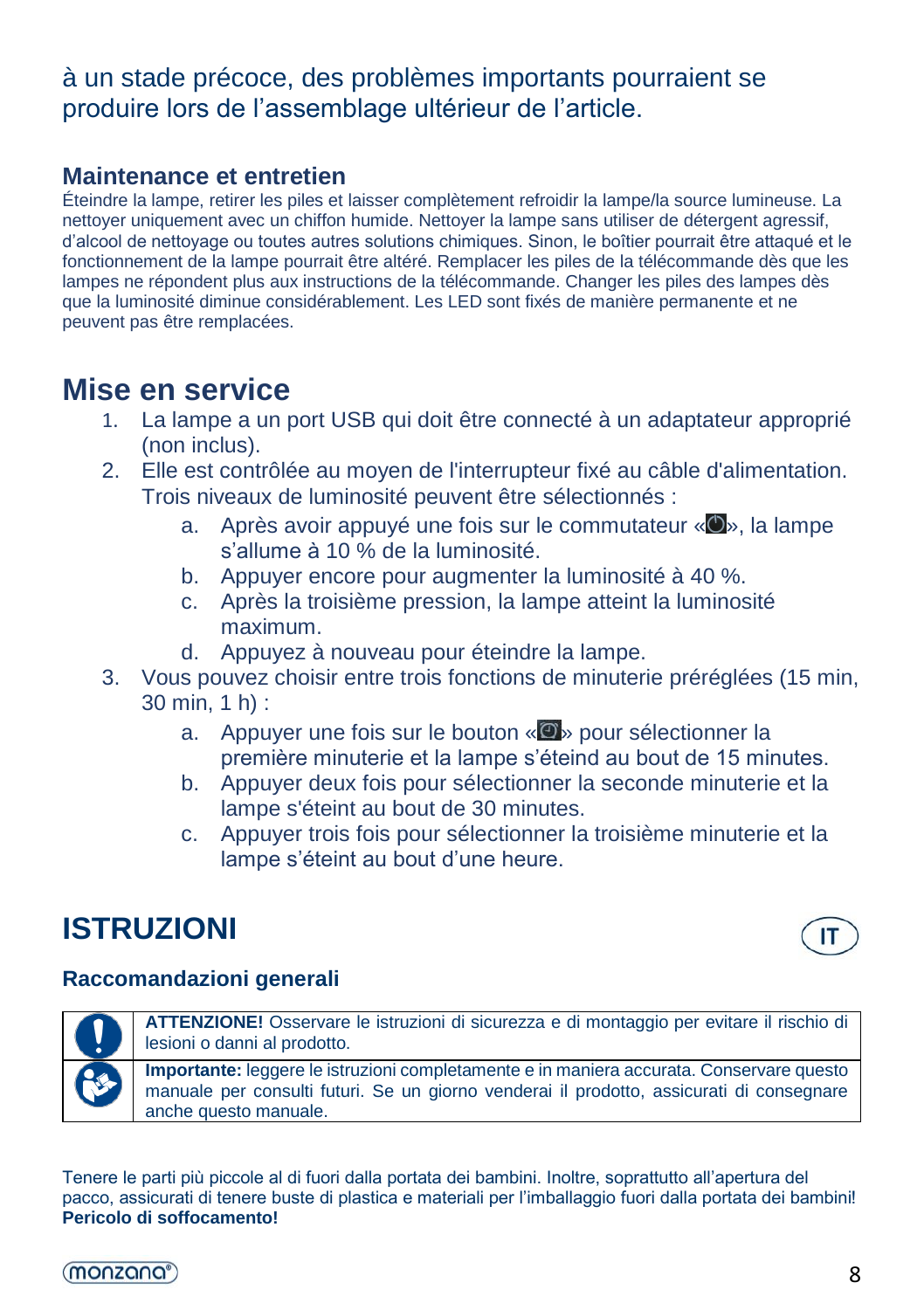#### à un stade précoce, des problèmes importants pourraient se produire lors de l'assemblage ultérieur de l'article.

#### **Maintenance et entretien**

Éteindre la lampe, retirer les piles et laisser complètement refroidir la lampe/la source lumineuse. La nettoyer uniquement avec un chiffon humide. Nettoyer la lampe sans utiliser de détergent agressif, d'alcool de nettoyage ou toutes autres solutions chimiques. Sinon, le boîtier pourrait être attaqué et le fonctionnement de la lampe pourrait être altéré. Remplacer les piles de la télécommande dès que les lampes ne répondent plus aux instructions de la télécommande. Changer les piles des lampes dès que la luminosité diminue considérablement. Les LED sont fixés de manière permanente et ne peuvent pas être remplacées.

### **Mise en service**

- 1. La lampe a un port USB qui doit être connecté à un adaptateur approprié (non inclus).
- 2. Elle est contrôlée au moyen de l'interrupteur fixé au câble d'alimentation. Trois niveaux de luminosité peuvent être sélectionnés :
	- a. Après avoir appuyé une fois sur le commutateur « O », la lampe s'allume à 10 % de la luminosité.
	- b. Appuyer encore pour augmenter la luminosité à 40 %.
	- c. Après la troisième pression, la lampe atteint la luminosité maximum.
	- d. Appuyez à nouveau pour éteindre la lampe.
- 3. Vous pouvez choisir entre trois fonctions de minuterie préréglées (15 min, 30 min, 1 h) :
	- a. Appuyer une fois sur le bouton « · pour sélectionner la première minuterie et la lampe s'éteind au bout de 15 minutes.
	- b. Appuyer deux fois pour sélectionner la seconde minuterie et la lampe s'éteint au bout de 30 minutes.
	- c. Appuyer trois fois pour sélectionner la troisième minuterie et la lampe s'éteint au bout d'une heure.

## **ISTRUZIONI**



#### **Raccomandazioni generali**



**ATTENZIONE!** Osservare le istruzioni di sicurezza e di montaggio per evitare il rischio di lesioni o danni al prodotto.

**Importante:** leggere le istruzioni completamente e in maniera accurata. Conservare questo manuale per consulti futuri. Se un giorno venderai il prodotto, assicurati di consegnare anche questo manuale.

Tenere le parti più piccole al di fuori dalla portata dei bambini. Inoltre, soprattutto all'apertura del pacco, assicurati di tenere buste di plastica e materiali per l'imballaggio fuori dalla portata dei bambini! **Pericolo di soffocamento!**

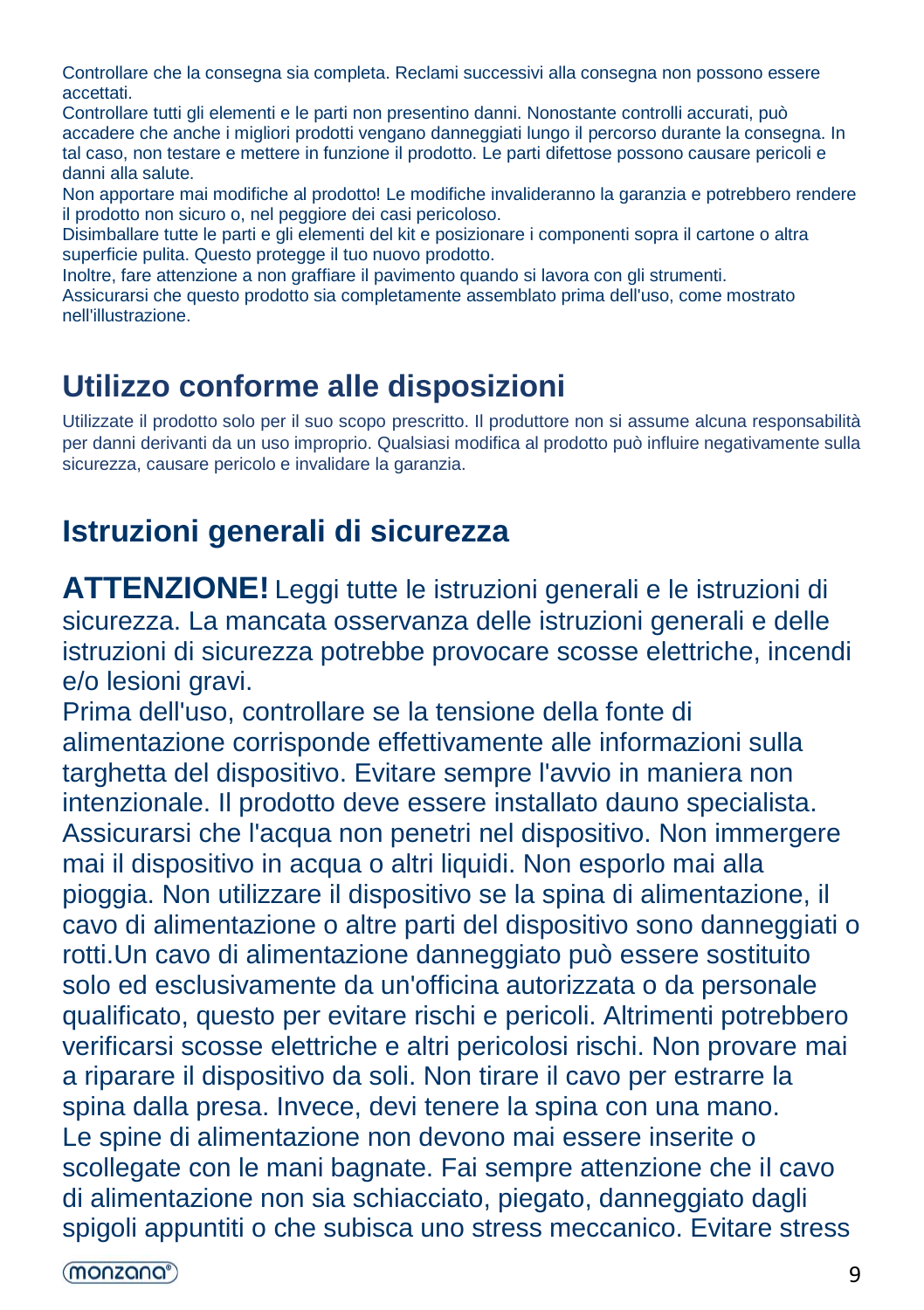Controllare che la consegna sia completa. Reclami successivi alla consegna non possono essere accettati.

Controllare tutti gli elementi e le parti non presentino danni. Nonostante controlli accurati, può accadere che anche i migliori prodotti vengano danneggiati lungo il percorso durante la consegna. In tal caso, non testare e mettere in funzione il prodotto. Le parti difettose possono causare pericoli e danni alla salute.

Non apportare mai modifiche al prodotto! Le modifiche invalideranno la garanzia e potrebbero rendere il prodotto non sicuro o, nel peggiore dei casi pericoloso.

Disimballare tutte le parti e gli elementi del kit e posizionare i componenti sopra il cartone o altra superficie pulita. Questo protegge il tuo nuovo prodotto.

Inoltre, fare attenzione a non graffiare il pavimento quando si lavora con gli strumenti.

Assicurarsi che questo prodotto sia completamente assemblato prima dell'uso, come mostrato nell'illustrazione.

### **Utilizzo conforme alle disposizioni**

Utilizzate il prodotto solo per il suo scopo prescritto. Il produttore non si assume alcuna responsabilità per danni derivanti da un uso improprio. Qualsiasi modifica al prodotto può influire negativamente sulla sicurezza, causare pericolo e invalidare la garanzia.

### **Istruzioni generali di sicurezza**

**ATTENZIONE!** Leggi tutte le istruzioni generali e le istruzioni di sicurezza. La mancata osservanza delle istruzioni generali e delle istruzioni di sicurezza potrebbe provocare scosse elettriche, incendi e/o lesioni gravi.

Prima dell'uso, controllare se la tensione della fonte di alimentazione corrisponde effettivamente alle informazioni sulla targhetta del dispositivo. Evitare sempre l'avvio in maniera non intenzionale. [Il](https://de.pons.com/%C3%BCbersetzung/italienisch-deutsch/Il) [prodotto](https://de.pons.com/%C3%BCbersetzung/italienisch-deutsch/prodotto) [deve](https://de.pons.com/%C3%BCbersetzung/italienisch-deutsch/deve) [essere](https://de.pons.com/%C3%BCbersetzung/italienisch-deutsch/essere) [installato](https://de.pons.com/%C3%BCbersetzung/italienisch-deutsch/installato) [dau](https://de.pons.com/%C3%BCbersetzung/italienisch-deutsch/da)[no](https://de.pons.com/%C3%BCbersetzung/italienisch-deutsch/no) [specialista.](https://de.pons.com/%C3%BCbersetzung/italienisch-deutsch/specialista) Assicurarsi che l'acqua non penetri nel dispositivo. Non immergere mai il dispositivo in acqua o altri liquidi. Non esporlo mai alla pioggia. Non utilizzare il dispositivo se la spina di alimentazione, il cavo di alimentazione o altre parti del dispositivo sono danneggiati o rotti.Un cavo di alimentazione danneggiato può essere sostituito solo ed esclusivamente da un'officina autorizzata o da personale qualificato, questo per evitare rischi e pericoli. Altrimenti potrebbero verificarsi scosse elettriche e altri pericolosi rischi. Non provare mai a riparare il dispositivo da soli. Non tirare il cavo per estrarre la spina dalla presa. Invece, devi tenere la spina con una mano. Le spine di alimentazione non devono mai essere inserite o scollegate con le mani bagnate. Fai sempre attenzione che il cavo di alimentazione non sia schiacciato, piegato, danneggiato dagli spigoli appuntiti o che subisca uno stress meccanico. Evitare stress

(monzana<sup>®</sup>)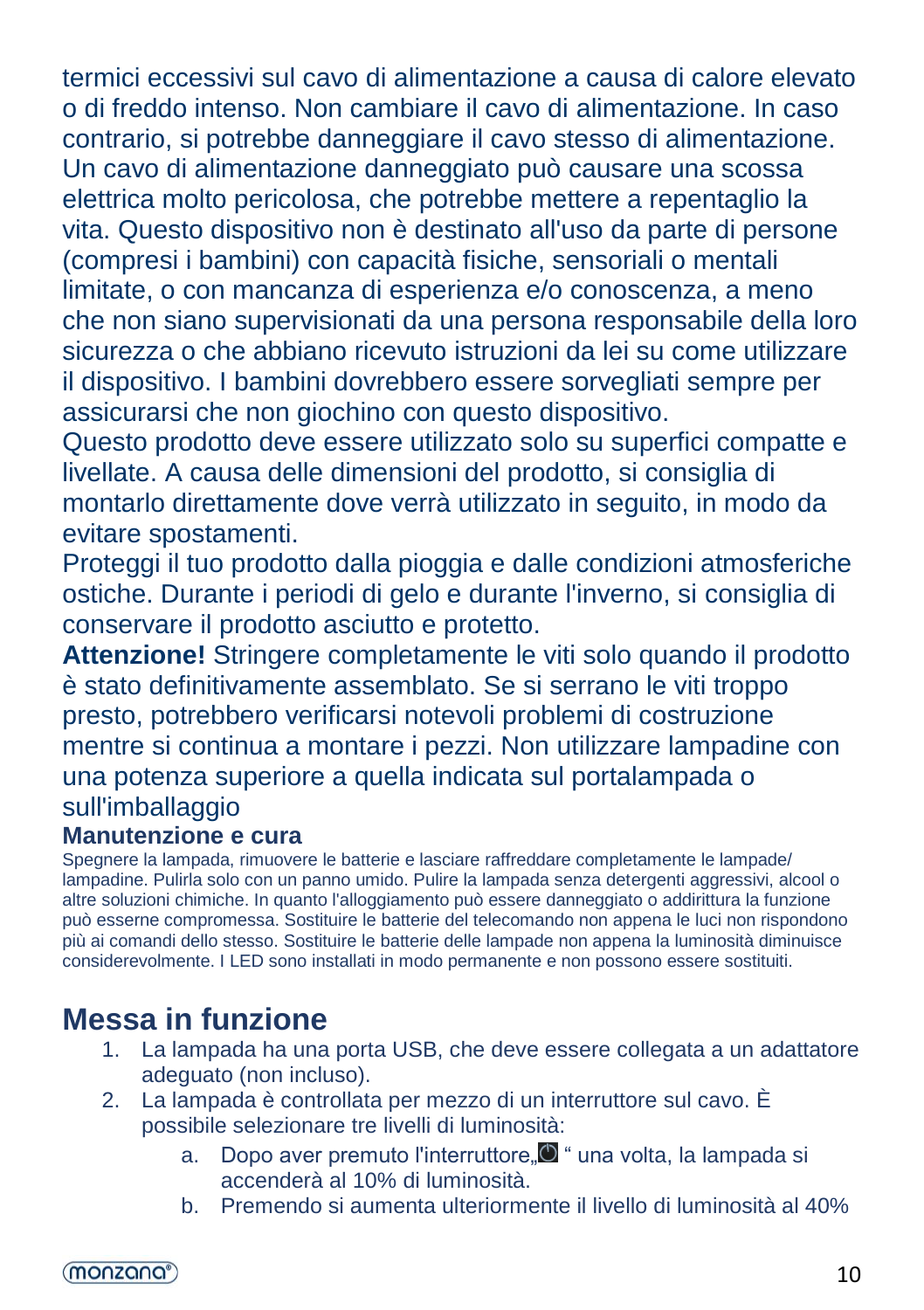termici eccessivi sul cavo di alimentazione a causa di calore elevato o di freddo intenso. Non cambiare il cavo di alimentazione. In caso contrario, si potrebbe danneggiare il cavo stesso di alimentazione. Un cavo di alimentazione danneggiato può causare una scossa elettrica molto pericolosa, che potrebbe mettere a repentaglio la vita. Questo dispositivo non è destinato all'uso da parte di persone (compresi i bambini) con capacità fisiche, sensoriali o mentali limitate, o con mancanza di esperienza e/o conoscenza, a meno che non siano supervisionati da una persona responsabile della loro sicurezza o che abbiano ricevuto istruzioni da lei su come utilizzare il dispositivo. I bambini dovrebbero essere sorvegliati sempre per assicurarsi che non giochino con questo dispositivo.

Questo prodotto deve essere utilizzato solo su superfici compatte e livellate. A causa delle dimensioni del prodotto, si consiglia di montarlo direttamente dove verrà utilizzato in seguito, in modo da evitare spostamenti.

Proteggi il tuo prodotto dalla pioggia e dalle condizioni atmosferiche ostiche. Durante i periodi di gelo e durante l'inverno, si consiglia di conservare il prodotto asciutto e protetto.

**Attenzione!** Stringere completamente le viti solo quando il prodotto è stato definitivamente assemblato. Se si serrano le viti troppo presto, potrebbero verificarsi notevoli problemi di costruzione mentre si continua a montare i pezzi. Non utilizzare lampadine con una potenza superiore a quella indicata sul portalampada o sull'imballaggio

#### **Manutenzione e cura**

Spegnere la lampada, rimuovere le batterie e lasciare raffreddare completamente le lampade/ lampadine. Pulirla solo con un panno umido. Pulire la lampada senza detergenti aggressivi, alcool o altre soluzioni chimiche. In quanto l'alloggiamento può essere danneggiato o addirittura la funzione può esserne compromessa. Sostituire le batterie del telecomando non appena le luci non rispondono più ai comandi dello stesso. Sostituire le batterie delle lampade non appena la luminosità diminuisce considerevolmente. I LED sono installati in modo permanente e non possono essere sostituiti.

## **Messa in funzione**

- 1. La lampada ha una porta USB, che deve essere collegata a un adattatore adeguato (non incluso).
- 2. La lampada è controllata per mezzo di un interruttore sul cavo. È possibile selezionare tre livelli di luminosità:
	- a. Dopo aver premuto l'interruttore, <sup>n</sup> " una volta, la lampada si accenderà al 10% di luminosità.
	- b. Premendo si aumenta ulteriormente il livello di luminosità al 40%

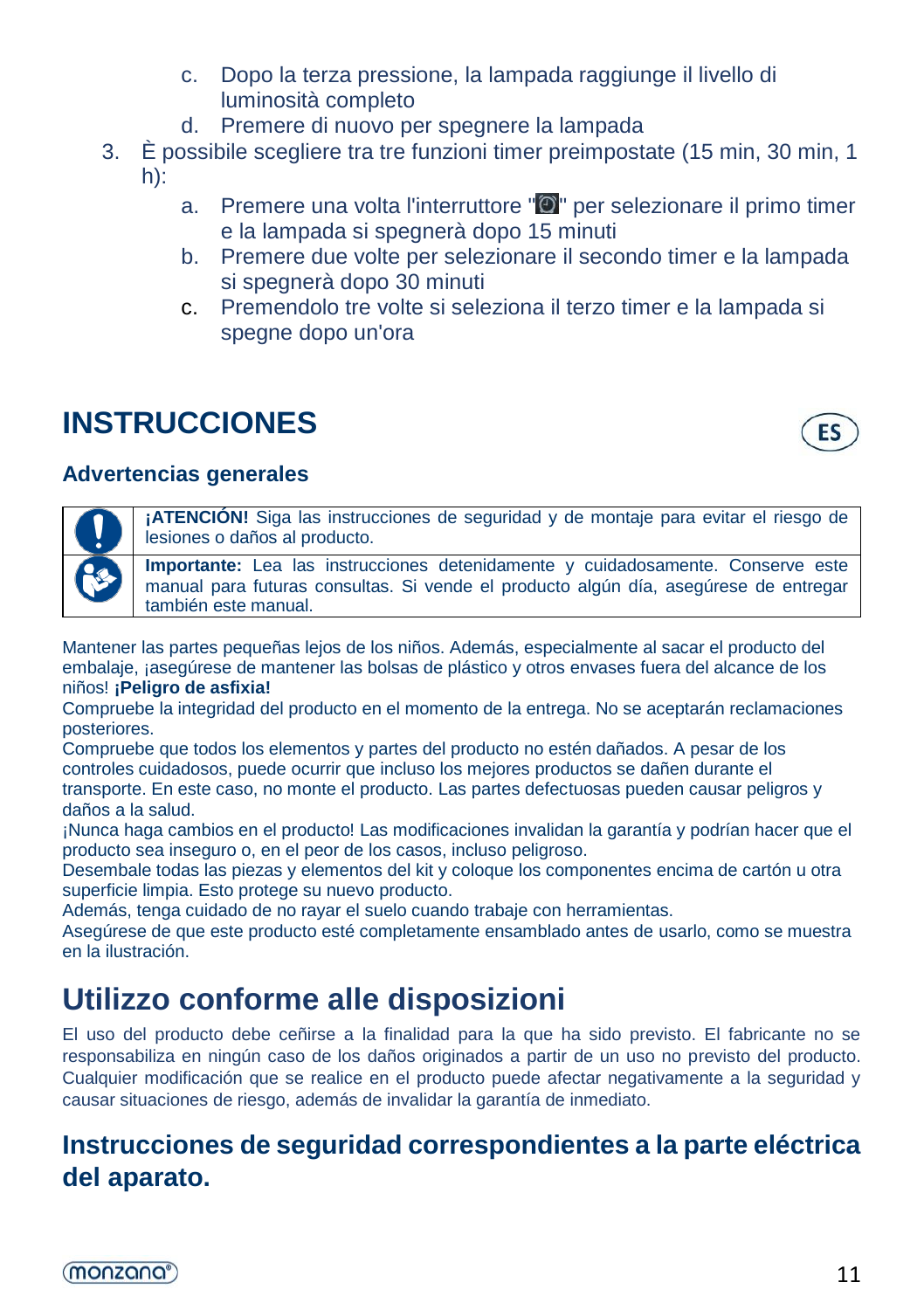- c. Dopo la terza pressione, la lampada raggiunge il livello di luminosità completo
- d. Premere di nuovo per spegnere la lampada
- 3. È possibile scegliere tra tre funzioni timer preimpostate (15 min, 30 min, 1 h):
	- a. Premere una volta l'interruttore "<sup>o</sup>" per selezionare il primo timer e la lampada si spegnerà dopo 15 minuti
	- b. Premere due volte per selezionare il secondo timer e la lampada si spegnerà dopo 30 minuti
	- c. Premendolo tre volte si seleziona il terzo timer e la lampada si spegne dopo un'ora

## **INSTRUCCIONES**



#### **Advertencias generales**

**¡ATENCIÓN!** Siga las instrucciones de seguridad y de montaje para evitar el riesgo de lesiones o daños al producto.

**Importante:** Lea las instrucciones detenidamente y cuidadosamente. Conserve este manual para futuras consultas. Si vende el producto algún día, asegúrese de entregar también este manual.

Mantener las partes pequeñas lejos de los niños. Además, especialmente al sacar el producto del embalaje, ¡asegúrese de mantener las bolsas de plástico y otros envases fuera del alcance de los niños! **¡Peligro de asfixia!**

Compruebe la integridad del producto en el momento de la entrega. No se aceptarán reclamaciones posteriores.

Compruebe que todos los elementos y partes del producto no estén dañados. A pesar de los controles cuidadosos, puede ocurrir que incluso los mejores productos se dañen durante el transporte. En este caso, no monte el producto. Las partes defectuosas pueden causar peligros y daños a la salud.

¡Nunca haga cambios en el producto! Las modificaciones invalidan la garantía y podrían hacer que el producto sea inseguro o, en el peor de los casos, incluso peligroso.

Desembale todas las piezas y elementos del kit y coloque los componentes encima de cartón u otra superficie limpia. Esto protege su nuevo producto.

Además, tenga cuidado de no rayar el suelo cuando trabaje con herramientas.

Asegúrese de que este producto esté completamente ensamblado antes de usarlo, como se muestra en la ilustración.

## **Utilizzo conforme alle disposizioni**

El uso del producto debe ceñirse a la finalidad para la que ha sido previsto. El fabricante no se responsabiliza en ningún caso de los daños originados a partir de un uso no previsto del producto. Cualquier modificación que se realice en el producto puede afectar negativamente a la seguridad y causar situaciones de riesgo, además de invalidar la garantía de inmediato.

### **Instrucciones de seguridad correspondientes a la parte eléctrica del aparato.**

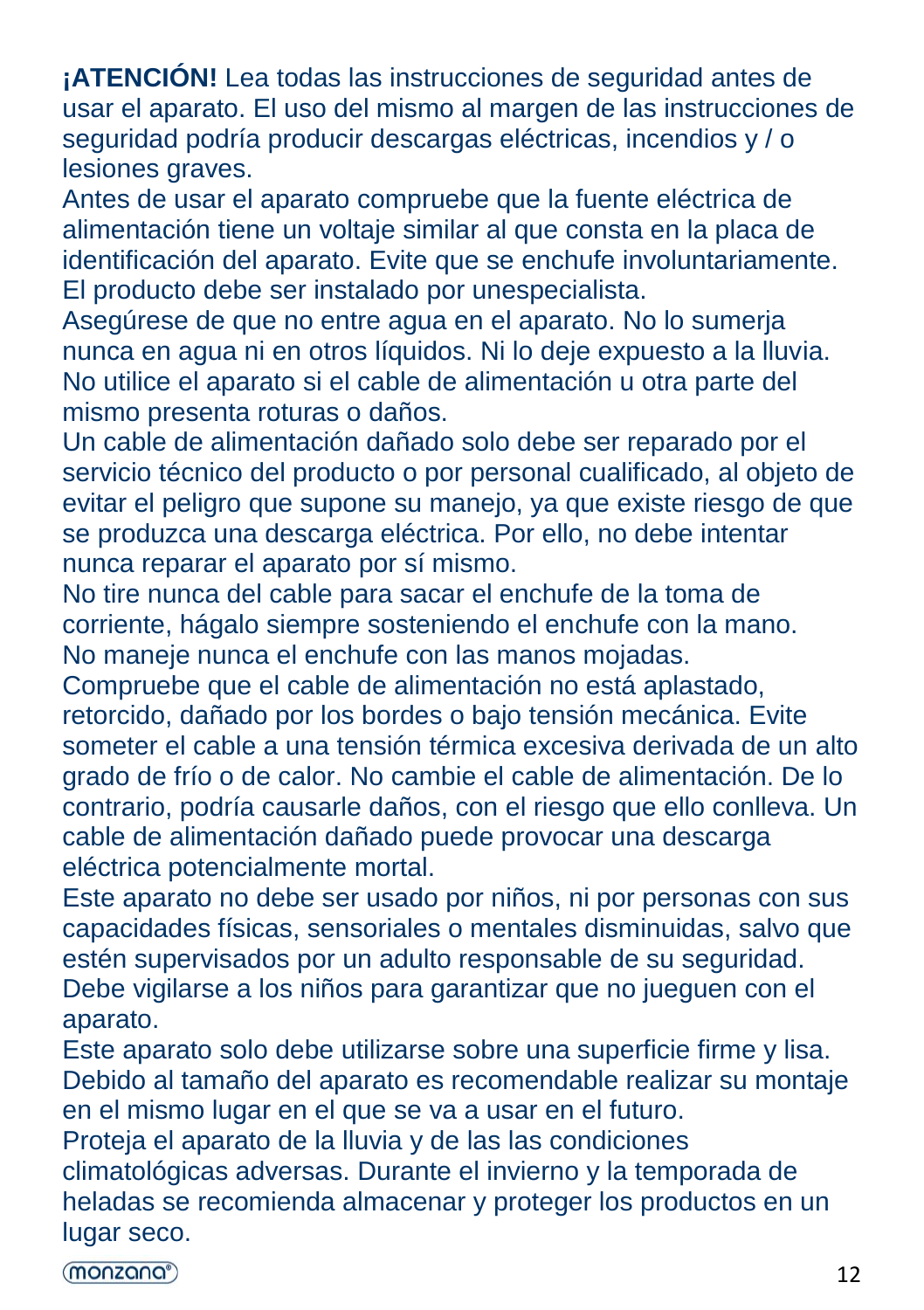**¡ATENCIÓN!** Lea todas las instrucciones de seguridad antes de usar el aparato. El uso del mismo al margen de las instrucciones de seguridad podría producir descargas eléctricas, incendios y / o lesiones graves.

Antes de usar el aparato compruebe que la fuente eléctrica de alimentación tiene un voltaje similar al que consta en la placa de identificación del aparato. Evite que se enchufe involuntariamente. [El](https://de.pons.com/%C3%BCbersetzung/spanisch-deutsch/El) [producto](https://de.pons.com/%C3%BCbersetzung/spanisch-deutsch/producto) [debe](https://de.pons.com/%C3%BCbersetzung/spanisch-deutsch/debe) [ser](https://de.pons.com/%C3%BCbersetzung/spanisch-deutsch/ser) [instalado](https://de.pons.com/%C3%BCbersetzung/spanisch-deutsch/instalado) [por](https://de.pons.com/%C3%BCbersetzung/spanisch-deutsch/por) [unespecialista.](https://de.pons.com/%C3%BCbersetzung/spanisch-deutsch/un)

Asegúrese de que no entre agua en el aparato. No lo sumerja nunca en agua ni en otros líquidos. Ni lo deje expuesto a la lluvia. No utilice el aparato si el cable de alimentación u otra parte del mismo presenta roturas o daños.

Un cable de alimentación dañado solo debe ser reparado por el servicio técnico del producto o por personal cualificado, al objeto de evitar el peligro que supone su manejo, ya que existe riesgo de que se produzca una descarga eléctrica. Por ello, no debe intentar nunca reparar el aparato por sí mismo.

No tire nunca del cable para sacar el enchufe de la toma de corriente, hágalo siempre sosteniendo el enchufe con la mano. No maneje nunca el enchufe con las manos mojadas.

Compruebe que el cable de alimentación no está aplastado, retorcido, dañado por los bordes o bajo tensión mecánica. Evite someter el cable a una tensión térmica excesiva derivada de un alto grado de frío o de calor. No cambie el cable de alimentación. De lo contrario, podría causarle daños, con el riesgo que ello conlleva. Un cable de alimentación dañado puede provocar una descarga eléctrica potencialmente mortal.

Este aparato no debe ser usado por niños, ni por personas con sus capacidades físicas, sensoriales o mentales disminuidas, salvo que estén supervisados por un adulto responsable de su seguridad. Debe vigilarse a los niños para garantizar que no jueguen con el aparato.

Este aparato solo debe utilizarse sobre una superficie firme y lisa. Debido al tamaño del aparato es recomendable realizar su montaje en el mismo lugar en el que se va a usar en el futuro.

Proteja el aparato de la lluvia y de las las condiciones

climatológicas adversas. Durante el invierno y la temporada de heladas se recomienda almacenar y proteger los productos en un lugar seco.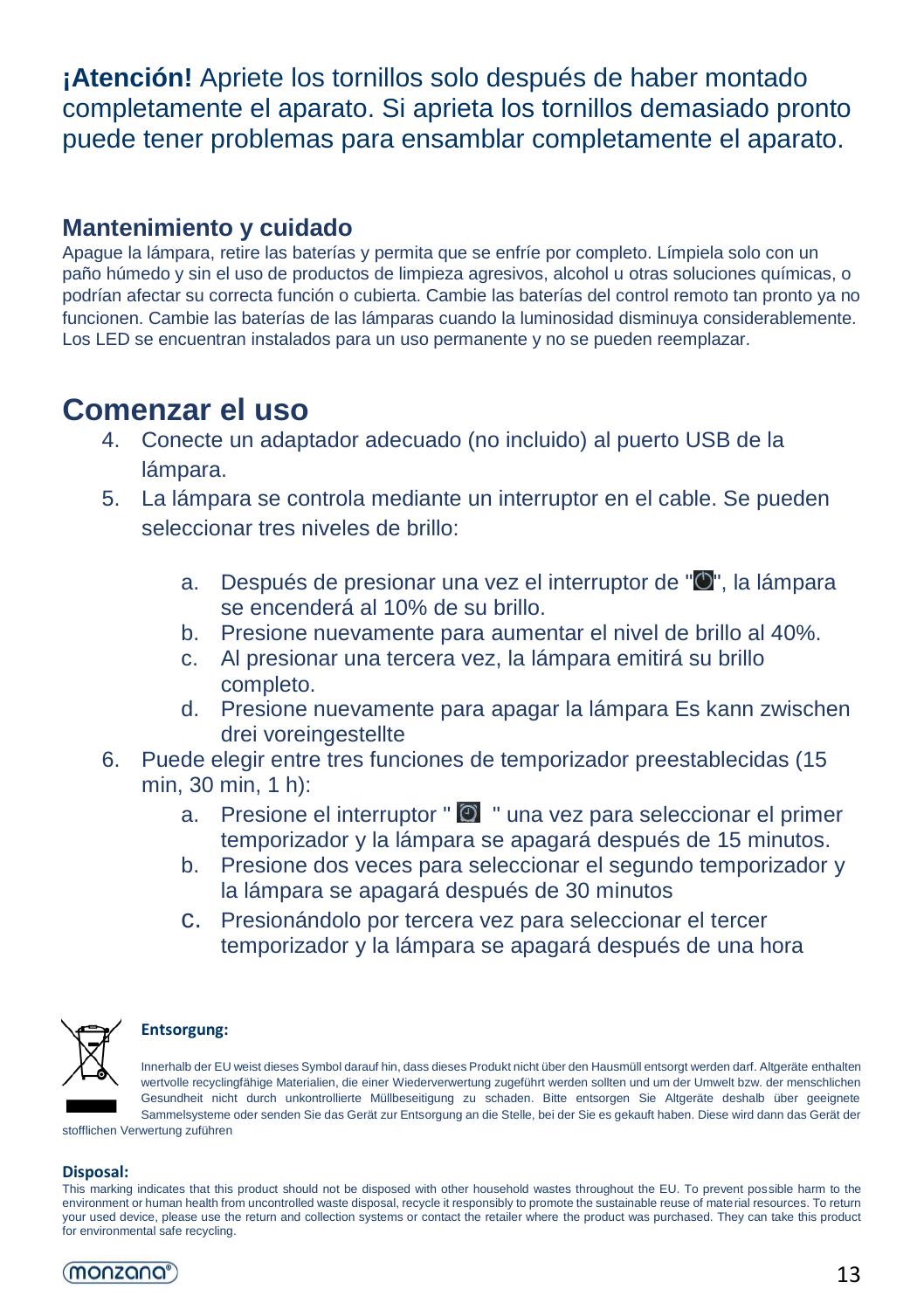**¡Atención!** Apriete los tornillos solo después de haber montado completamente el aparato. Si aprieta los tornillos demasiado pronto puede tener problemas para ensamblar completamente el aparato.

#### **Mantenimiento y cuidado**

Apague la lámpara, retire las baterías y permita que se enfríe por completo. Límpiela solo con un paño húmedo y sin el uso de productos de limpieza agresivos, alcohol u otras soluciones químicas, o podrían afectar su correcta función o cubierta. Cambie las baterías del control remoto tan pronto ya no funcionen. Cambie las baterías de las lámparas cuando la luminosidad disminuya considerablemente. Los LED se encuentran instalados para un uso permanente y no se pueden reemplazar.

### **Comenzar el uso**

- 4. Conecte un adaptador adecuado (no incluido) al puerto USB de la lámpara.
- 5. La lámpara se controla mediante un interruptor en el cable. Se pueden seleccionar tres niveles de brillo:
	- a. Después de presionar una vez el interruptor de "<sup>O</sup>", la lámpara se encenderá al 10% de su brillo.
	- b. Presione nuevamente para aumentar el nivel de brillo al 40%.
	- c. Al presionar una tercera vez, la lámpara emitirá su brillo completo.
	- d. Presione nuevamente para apagar la lámpara Es kann zwischen drei voreingestellte
- 6. Puede elegir entre tres funciones de temporizador preestablecidas (15 min, 30 min, 1 h):
	- a. Presione el interruptor  $\mathbb{C}$  " una vez para seleccionar el primer temporizador y la lámpara se apagará después de 15 minutos.
	- b. Presione dos veces para seleccionar el segundo temporizador y la lámpara se apagará después de 30 minutos
	- c. Presionándolo por tercera vez para seleccionar el tercer temporizador y la lámpara se apagará después de una hora



#### **Entsorgung:**

Innerhalb der EU weist dieses Symbol darauf hin, dass dieses Produkt nicht über den Hausmüll entsorgt werden darf. Altgeräte enthalten wertvolle recyclingfähige Materialien, die einer Wiederverwertung zugeführt werden sollten und um der Umwelt bzw. der menschlichen Gesundheit nicht durch unkontrollierte Müllbeseitigung zu schaden. Bitte entsorgen Sie Altgeräte deshalb über geeignete Sammelsysteme oder senden Sie das Gerät zur Entsorgung an die Stelle, bei der Sie es gekauft haben. Diese wird dann das Gerät der

stofflichen Verwertung zuführen

#### **Disposal:**

This marking indicates that this product should not be disposed with other household wastes throughout the EU. To prevent possible harm to the environment or human health from uncontrolled waste disposal, recycle it responsibly to promote the sustainable reuse of material resources. To return your used device, please use the return and collection systems or contact the retailer where the product was purchased. They can take this product for environmental safe recycling.